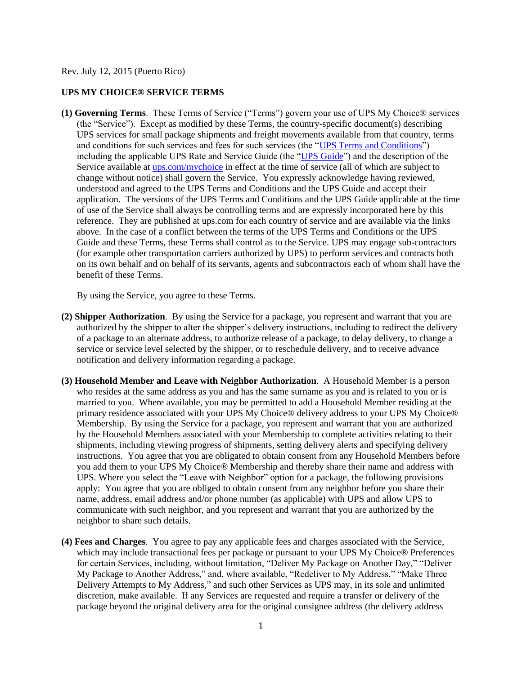Rev. July 12, 2015 (Puerto Rico)

## **UPS MY CHOICE® SERVICE TERMS**

**(1) Governing Terms**. These Terms of Service ("Terms") govern your use of UPS My Choice® services (the "Service"). Except as modified by these Terms, the country-specific document(s) describing UPS services for small package shipments and freight movements available from that country, terms and conditions for such services and fees for such services (the ["UPS Terms and Conditions"](http://www.ups.com/content/pr/en/resources/ship/terms/shipping/index.html?WT.svl=Footer)) including the applicable UPS Rate and Service Guide (the ["UPS Guide"](http://www.ups.com/content/pr/en/shipping/cost/zones/index.html)) and the description of the Service available at [ups.com/mychoice](http://www.ups.com/content/pr/en/tracking/ups_mychoice.html) in effect at the time of service (all of which are subject to change without notice) shall govern the Service. You expressly acknowledge having reviewed, understood and agreed to the UPS Terms and Conditions and the UPS Guide and accept their application. The versions of the UPS Terms and Conditions and the UPS Guide applicable at the time of use of the Service shall always be controlling terms and are expressly incorporated here by this reference. They are published at ups.com for each country of service and are available via the links above. In the case of a conflict between the terms of the UPS Terms and Conditions or the UPS Guide and these Terms, these Terms shall control as to the Service. UPS may engage sub-contractors (for example other transportation carriers authorized by UPS) to perform services and contracts both on its own behalf and on behalf of its servants, agents and subcontractors each of whom shall have the benefit of these Terms.

By using the Service, you agree to these Terms.

- **(2) Shipper Authorization**. By using the Service for a package, you represent and warrant that you are authorized by the shipper to alter the shipper's delivery instructions, including to redirect the delivery of a package to an alternate address, to authorize release of a package, to delay delivery, to change a service or service level selected by the shipper, or to reschedule delivery, and to receive advance notification and delivery information regarding a package.
- **(3) Household Member and Leave with Neighbor Authorization**. A Household Member is a person who resides at the same address as you and has the same surname as you and is related to you or is married to you. Where available, you may be permitted to add a Household Member residing at the primary residence associated with your UPS My Choice® delivery address to your UPS My Choice® Membership. By using the Service for a package, you represent and warrant that you are authorized by the Household Members associated with your Membership to complete activities relating to their shipments, including viewing progress of shipments, setting delivery alerts and specifying delivery instructions. You agree that you are obligated to obtain consent from any Household Members before you add them to your UPS My Choice® Membership and thereby share their name and address with UPS. Where you select the "Leave with Neighbor" option for a package, the following provisions apply: You agree that you are obliged to obtain consent from any neighbor before you share their name, address, email address and/or phone number (as applicable) with UPS and allow UPS to communicate with such neighbor, and you represent and warrant that you are authorized by the neighbor to share such details.
- **(4) Fees and Charges**. You agree to pay any applicable fees and charges associated with the Service, which may include transactional fees per package or pursuant to your UPS My Choice<sup>®</sup> Preferences for certain Services, including, without limitation, "Deliver My Package on Another Day," "Deliver My Package to Another Address," and, where available, "Redeliver to My Address," "Make Three Delivery Attempts to My Address," and such other Services as UPS may, in its sole and unlimited discretion, make available. If any Services are requested and require a transfer or delivery of the package beyond the original delivery area for the original consignee address (the delivery address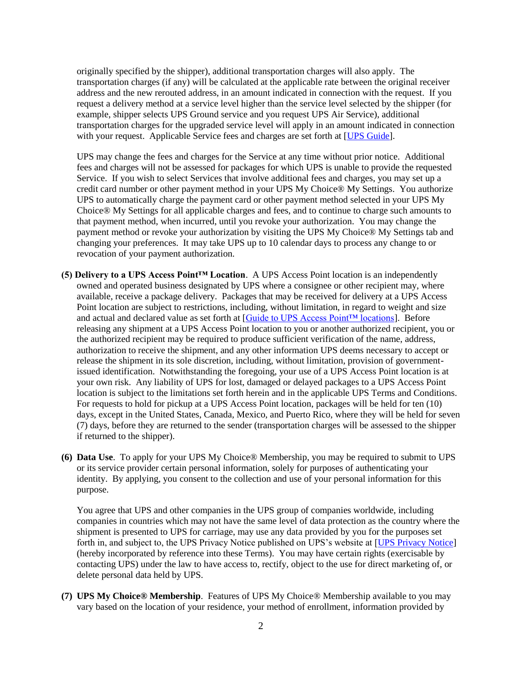originally specified by the shipper), additional transportation charges will also apply. The transportation charges (if any) will be calculated at the applicable rate between the original receiver address and the new rerouted address, in an amount indicated in connection with the request. If you request a delivery method at a service level higher than the service level selected by the shipper (for example, shipper selects UPS Ground service and you request UPS Air Service), additional transportation charges for the upgraded service level will apply in an amount indicated in connection with your request. Applicable Service fees and charges are set forth at [\[UPS Guide\]](http://www.ups.com/content/pr/en/shipping/cost/zones/index.html).

UPS may change the fees and charges for the Service at any time without prior notice. Additional fees and charges will not be assessed for packages for which UPS is unable to provide the requested Service. If you wish to select Services that involve additional fees and charges, you may set up a credit card number or other payment method in your UPS My Choice® My Settings. You authorize UPS to automatically charge the payment card or other payment method selected in your UPS My Choice® My Settings for all applicable charges and fees, and to continue to charge such amounts to that payment method, when incurred, until you revoke your authorization. You may change the payment method or revoke your authorization by visiting the UPS My Choice® My Settings tab and changing your preferences. It may take UPS up to 10 calendar days to process any change to or revocation of your payment authorization.

- **(5) Delivery to a UPS Access Point™ Location**. A UPS Access Point location is an independently owned and operated business designated by UPS where a consignee or other recipient may, where available, receive a package delivery. Packages that may be received for delivery at a UPS Access Point location are subject to restrictions, including, without limitation, in regard to weight and size and actual and declared value as set forth at [\[Guide to UPS Access Point™ locations\]](http://www.ups.com/accesspoint/). Before releasing any shipment at a UPS Access Point location to you or another authorized recipient, you or the authorized recipient may be required to produce sufficient verification of the name, address, authorization to receive the shipment, and any other information UPS deems necessary to accept or release the shipment in its sole discretion, including, without limitation, provision of governmentissued identification. Notwithstanding the foregoing, your use of a UPS Access Point location is at your own risk. Any liability of UPS for lost, damaged or delayed packages to a UPS Access Point location is subject to the limitations set forth herein and in the applicable UPS Terms and Conditions. For requests to hold for pickup at a UPS Access Point location, packages will be held for ten (10) days, except in the United States, Canada, Mexico, and Puerto Rico, where they will be held for seven (7) days, before they are returned to the sender (transportation charges will be assessed to the shipper if returned to the shipper).
- **(6) Data Use**. To apply for your UPS My Choice® Membership, you may be required to submit to UPS or its service provider certain personal information, solely for purposes of authenticating your identity. By applying, you consent to the collection and use of your personal information for this purpose.

You agree that UPS and other companies in the UPS group of companies worldwide, including companies in countries which may not have the same level of data protection as the country where the shipment is presented to UPS for carriage, may use any data provided by you for the purposes set forth in, and subject to, the UPS Privacy Notice published on UPS's website at [\[UPS Privacy Notice\]](http://www.ups.com/content/pr/en/resources/ship/terms/privacy.html) (hereby incorporated by reference into these Terms). You may have certain rights (exercisable by contacting UPS) under the law to have access to, rectify, object to the use for direct marketing of, or delete personal data held by UPS.

**(7) UPS My Choice® Membership**. Features of UPS My Choice® Membership available to you may vary based on the location of your residence, your method of enrollment, information provided by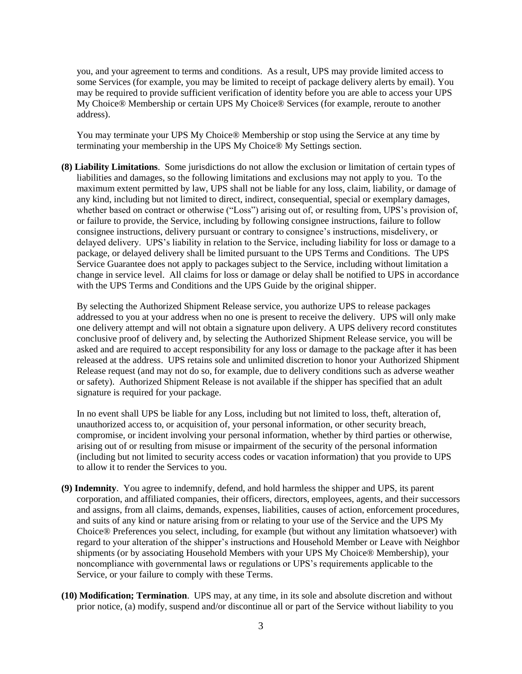you, and your agreement to terms and conditions. As a result, UPS may provide limited access to some Services (for example, you may be limited to receipt of package delivery alerts by email). You may be required to provide sufficient verification of identity before you are able to access your UPS My Choice® Membership or certain UPS My Choice® Services (for example, reroute to another address).

You may terminate your UPS My Choice® Membership or stop using the Service at any time by terminating your membership in the UPS My Choice® My Settings section.

**(8) Liability Limitations**. Some jurisdictions do not allow the exclusion or limitation of certain types of liabilities and damages, so the following limitations and exclusions may not apply to you. To the maximum extent permitted by law, UPS shall not be liable for any loss, claim, liability, or damage of any kind, including but not limited to direct, indirect, consequential, special or exemplary damages, whether based on contract or otherwise ("Loss") arising out of, or resulting from, UPS's provision of, or failure to provide, the Service, including by following consignee instructions, failure to follow consignee instructions, delivery pursuant or contrary to consignee's instructions, misdelivery, or delayed delivery. UPS's liability in relation to the Service, including liability for loss or damage to a package, or delayed delivery shall be limited pursuant to the UPS Terms and Conditions. The UPS Service Guarantee does not apply to packages subject to the Service, including without limitation a change in service level. All claims for loss or damage or delay shall be notified to UPS in accordance with the UPS Terms and Conditions and the UPS Guide by the original shipper.

By selecting the Authorized Shipment Release service, you authorize UPS to release packages addressed to you at your address when no one is present to receive the delivery. UPS will only make one delivery attempt and will not obtain a signature upon delivery. A UPS delivery record constitutes conclusive proof of delivery and, by selecting the Authorized Shipment Release service, you will be asked and are required to accept responsibility for any loss or damage to the package after it has been released at the address. UPS retains sole and unlimited discretion to honor your Authorized Shipment Release request (and may not do so, for example, due to delivery conditions such as adverse weather or safety). Authorized Shipment Release is not available if the shipper has specified that an adult signature is required for your package.

In no event shall UPS be liable for any Loss, including but not limited to loss, theft, alteration of, unauthorized access to, or acquisition of, your personal information, or other security breach, compromise, or incident involving your personal information, whether by third parties or otherwise, arising out of or resulting from misuse or impairment of the security of the personal information (including but not limited to security access codes or vacation information) that you provide to UPS to allow it to render the Services to you.

- **(9) Indemnity**. You agree to indemnify, defend, and hold harmless the shipper and UPS, its parent corporation, and affiliated companies, their officers, directors, employees, agents, and their successors and assigns, from all claims, demands, expenses, liabilities, causes of action, enforcement procedures, and suits of any kind or nature arising from or relating to your use of the Service and the UPS My Choice® Preferences you select, including, for example (but without any limitation whatsoever) with regard to your alteration of the shipper's instructions and Household Member or Leave with Neighbor shipments (or by associating Household Members with your UPS My Choice® Membership), your noncompliance with governmental laws or regulations or UPS's requirements applicable to the Service, or your failure to comply with these Terms.
- **(10) Modification; Termination**. UPS may, at any time, in its sole and absolute discretion and without prior notice, (a) modify, suspend and/or discontinue all or part of the Service without liability to you